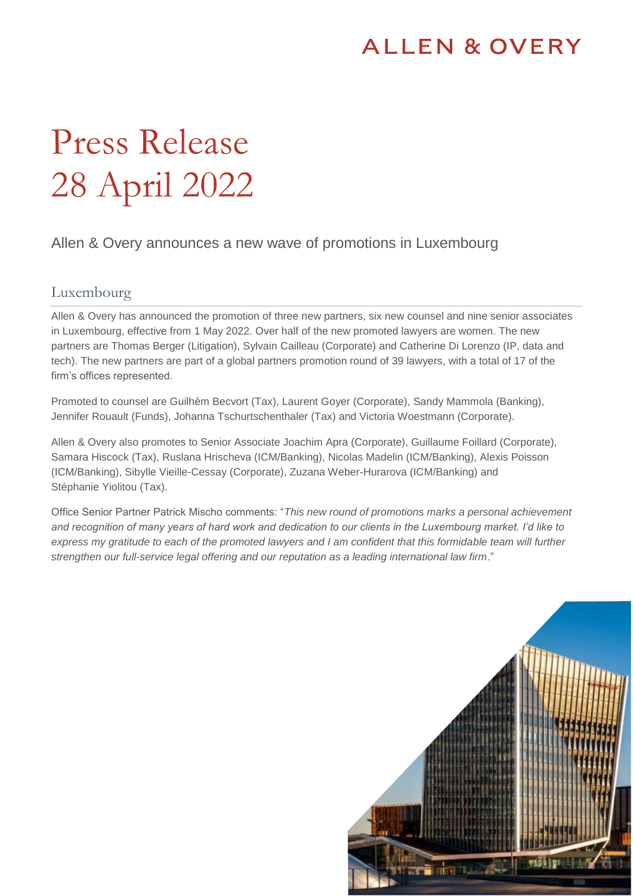# **ALLEN & OVERY**

# Press Release 28 April 2022

## Allen & Overy announces a new wave of promotions in Luxembourg

### Luxembourg

Allen & Overy has announced the promotion of three new partners, six new counsel and nine senior associates in Luxembourg, effective from 1 May 2022. Over half of the new promoted lawyers are women. The new partners are Thomas Berger (Litigation), Sylvain Cailleau (Corporate) and Catherine Di Lorenzo (IP, data and tech). The new partners are part of a global partners promotion round of 39 lawyers, with a total of 17 of the firm's offices represented.

Promoted to counsel are Guilhèm Becvort (Tax), Laurent Goyer (Corporate), Sandy Mammola (Banking), Jennifer Rouault (Funds), Johanna Tschurtschenthaler (Tax) and Victoria Woestmann (Corporate).

Allen & Overy also promotes to Senior Associate Joachim Apra (Corporate), Guillaume Foillard (Corporate), Samara Hiscock (Tax), Ruslana Hrischeva (ICM/Banking), Nicolas Madelin (ICM/Banking), Alexis Poisson (ICM/Banking), Sibylle Vieille-Cessay (Corporate), Zuzana Weber-Hurarova (ICM/Banking) and Stéphanie Yiolitou (Tax).

Office Senior Partner Patrick Mischo comments: "*This new round of promotions marks a personal achievement and recognition of many years of hard work and dedication to our clients in the Luxembourg market. I'd like to express my gratitude to each of the promoted lawyers and I am confident that this formidable team will further strengthen our full-service legal offering and our reputation as a leading international law firm*."

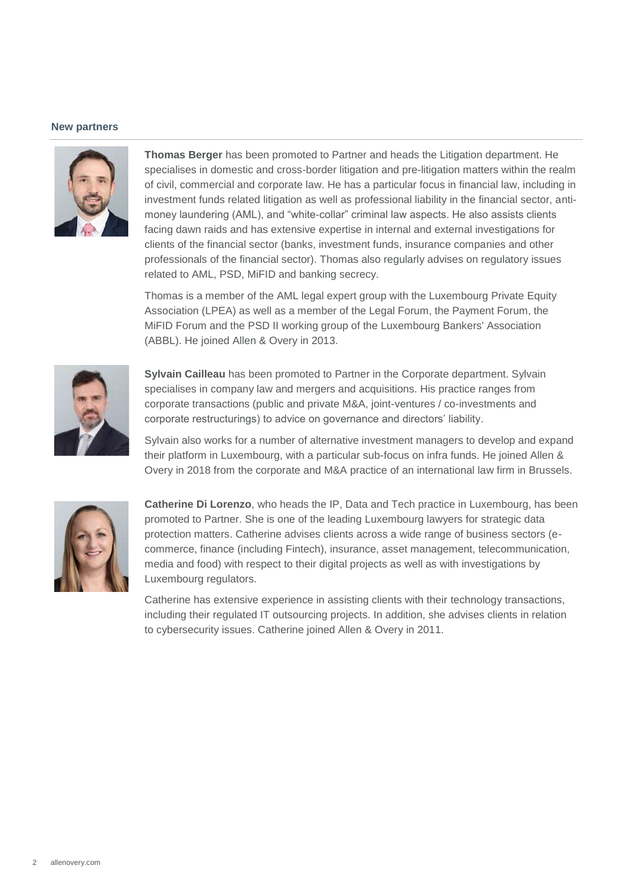#### **New partners**



**Thomas Berger** has been promoted to Partner and heads the Litigation department. He specialises in domestic and cross-border litigation and pre-litigation matters within the realm of civil, commercial and corporate law. He has a particular focus in financial law, including in investment funds related litigation as well as professional liability in the financial sector, antimoney laundering (AML), and "white-collar" criminal law aspects. He also assists clients facing dawn raids and has extensive expertise in internal and external investigations for clients of the financial sector (banks, investment funds, insurance companies and other professionals of the financial sector). Thomas also regularly advises on regulatory issues related to AML, PSD, MiFID and banking secrecy.

Thomas is a member of the AML legal expert group with the Luxembourg Private Equity Association (LPEA) as well as a member of the Legal Forum, the Payment Forum, the MiFID Forum and the PSD II working group of the Luxembourg Bankers' Association (ABBL). He joined Allen & Overy in 2013.



**Sylvain Cailleau** has been promoted to Partner in the Corporate department. Sylvain specialises in company law and mergers and acquisitions. His practice ranges from corporate transactions (public and private M&A, joint-ventures / co-investments and corporate restructurings) to advice on governance and directors' liability.

Sylvain also works for a number of alternative investment managers to develop and expand their platform in Luxembourg, with a particular sub-focus on infra funds. He joined Allen & Overy in 2018 from the corporate and M&A practice of an international law firm in Brussels.



**Catherine Di Lorenzo**, who heads the IP, Data and Tech practice in Luxembourg, has been promoted to Partner. She is one of the leading Luxembourg lawyers for strategic data protection matters. Catherine advises clients across a wide range of business sectors (ecommerce, finance (including Fintech), insurance, asset management, telecommunication, media and food) with respect to their digital projects as well as with investigations by Luxembourg regulators.

Catherine has extensive experience in assisting clients with their technology transactions, including their regulated IT outsourcing projects. In addition, she advises clients in relation to cybersecurity issues. Catherine joined Allen & Overy in 2011.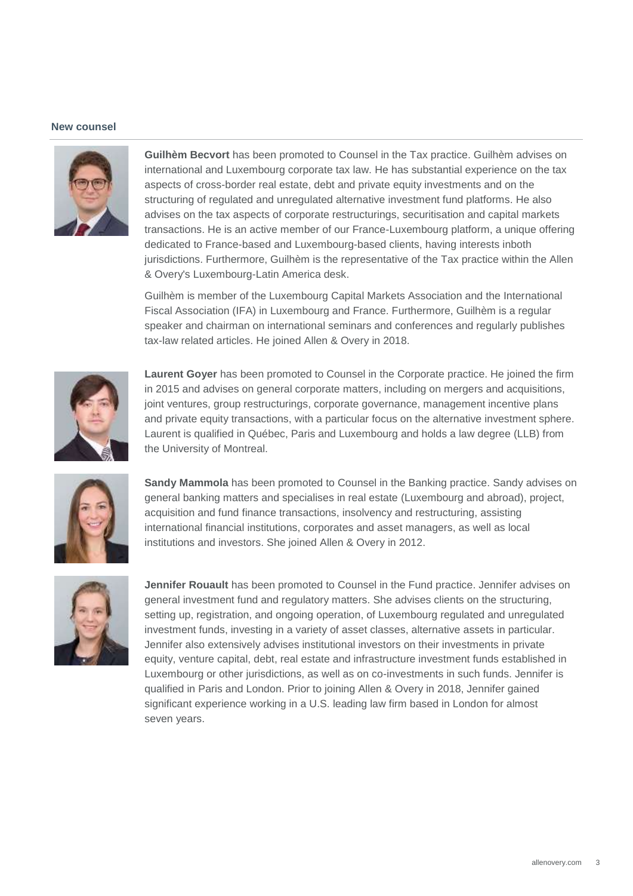#### **New counsel**



**Guilhèm Becvort** has been promoted to Counsel in the Tax practice. Guilhèm advises on international and Luxembourg corporate tax law. He has substantial experience on the tax aspects of cross-border real estate, debt and private equity investments and on the structuring of regulated and unregulated alternative investment fund platforms. He also advises on the tax aspects of corporate restructurings, securitisation and capital markets transactions. He is an active member of our France-Luxembourg platform, a unique offering dedicated to France-based and Luxembourg-based clients, having interests inboth jurisdictions. Furthermore, Guilhèm is the representative of the Tax practice within the Allen & Overy's Luxembourg-Latin America desk.

Guilhèm is member of the Luxembourg Capital Markets Association and the International Fiscal Association (IFA) in Luxembourg and France. Furthermore, Guilhèm is a regular speaker and chairman on international seminars and conferences and regularly publishes tax-law related articles. He joined Allen & Overy in 2018.



**Laurent Goyer** has been promoted to Counsel in the Corporate practice. He joined the firm in 2015 and advises on general corporate matters, including on mergers and acquisitions, joint ventures, group restructurings, corporate governance, management incentive plans and private equity transactions, with a particular focus on the alternative investment sphere. Laurent is qualified in Québec, Paris and Luxembourg and holds a law degree (LLB) from the University of Montreal.



**Sandy Mammola** has been promoted to Counsel in the Banking practice. Sandy advises on general banking matters and specialises in real estate (Luxembourg and abroad), project, acquisition and fund finance transactions, insolvency and restructuring, assisting international financial institutions, corporates and asset managers, as well as local institutions and investors. She joined Allen & Overy in 2012.



**Jennifer Rouault** has been promoted to Counsel in the Fund practice. Jennifer advises on general investment fund and regulatory matters. She advises clients on the structuring, setting up, registration, and ongoing operation, of Luxembourg regulated and unregulated investment funds, investing in a variety of asset classes, alternative assets in particular. Jennifer also extensively advises institutional investors on their investments in private equity, venture capital, debt, real estate and infrastructure investment funds established in Luxembourg or other jurisdictions, as well as on co-investments in such funds. Jennifer is qualified in Paris and London. Prior to joining Allen & Overy in 2018, Jennifer gained significant experience working in a U.S. leading law firm based in London for almost seven years.